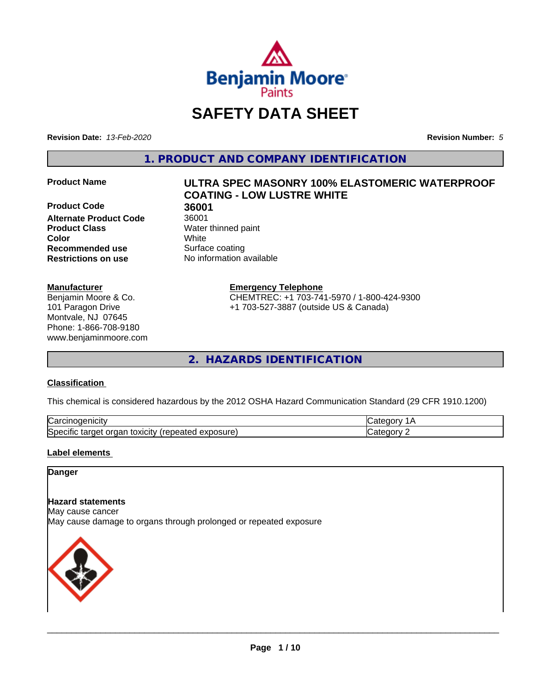

# **SAFETY DATA SHEET**

**Revision Date:** *13-Feb-2020* **Revision Number:** *5*

**1. PRODUCT AND COMPANY IDENTIFICATION**

**Product Code 36001 Alternate Product Code** 36001 **Product Class** Water thinned paint **Recommended use** Surface coating **Restrictions on use** No information available

### **Manufacturer**

Benjamin Moore & Co. 101 Paragon Drive Montvale, NJ 07645 Phone: 1-866-708-9180 www.benjaminmoore.com

# **Product Name ULTRA SPEC MASONRY 100% ELASTOMERIC WATERPROOF COATING - LOW LUSTRE WHITE**

**Color** White

### **Emergency Telephone**

CHEMTREC: +1 703-741-5970 / 1-800-424-9300 +1 703-527-3887 (outside US & Canada)

**2. HAZARDS IDENTIFICATION**

### **Classification**

This chemical is considered hazardous by the 2012 OSHA Hazard Communication Standard (29 CFR 1910.1200)

| ⌒<br>.<br>"Jarc™<br>пісн<br>…u⊔∪∪ ≔                                                 | ----     |
|-------------------------------------------------------------------------------------|----------|
| exposure<br>. .<br>toxicity<br>50e<br>ordar<br>arger :<br>энк<br>.<br>calcu<br>50.U | ----<br> |

### **Label elements**

### **Danger**

### **Hazard statements**

May cause cancer

May cause damage to organs through prolonged or repeated exposure

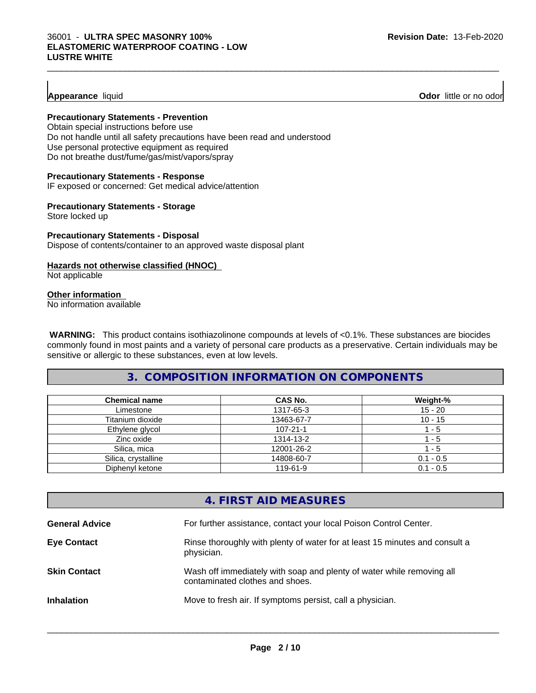### **Appearance** liquid **Odor 11** and **Odor 11** and **Odor 11** and **Odor 11** and **Odor 11** and **Odor 11** and **Odor** 11 and **Odor** 11 and **Odor** 11 and **Odor** 11 and **Odor** 11 and **Odor** 11 and **Odor** 11 and **Odor** 11 and **Odor**

### **Precautionary Statements - Prevention**

Obtain special instructions before use Do not handle until all safety precautions have been read and understood Use personal protective equipment as required Do not breathe dust/fume/gas/mist/vapors/spray

### **Precautionary Statements - Response**

IF exposed or concerned: Get medical advice/attention

### **Precautionary Statements - Storage**

Store locked up

### **Precautionary Statements - Disposal** Dispose of contents/container to an approved waste disposal plant

### **Hazards not otherwise classified (HNOC)**

Not applicable

### **Other information**

No information available

 **WARNING:** This product contains isothiazolinone compounds at levels of <0.1%. These substances are biocides commonly found in most paints and a variety of personal care products as a preservative. Certain individuals may be sensitive or allergic to these substances, even at low levels.

### **3. COMPOSITION INFORMATION ON COMPONENTS**

| <b>Chemical name</b> | CAS No.        | Weight-%    |
|----------------------|----------------|-------------|
| Limestone            | 1317-65-3      | $15 - 20$   |
| Titanium dioxide     | 13463-67-7     | $10 - 15$   |
| Ethylene glycol      | $107 - 21 - 1$ | - 5         |
| Zinc oxide           | 1314-13-2      | - 5         |
| Silica, mica         | 12001-26-2     | - 5         |
| Silica, crystalline  | 14808-60-7     | $0.1 - 0.5$ |
| Diphenyl ketone      | 119-61-9       | $0.1 - 0.5$ |

### **4. FIRST AID MEASURES**

| <b>General Advice</b> | For further assistance, contact your local Poison Control Center.                                        |
|-----------------------|----------------------------------------------------------------------------------------------------------|
| <b>Eye Contact</b>    | Rinse thoroughly with plenty of water for at least 15 minutes and consult a<br>physician.                |
| <b>Skin Contact</b>   | Wash off immediately with soap and plenty of water while removing all<br>contaminated clothes and shoes. |
| <b>Inhalation</b>     | Move to fresh air. If symptoms persist, call a physician.                                                |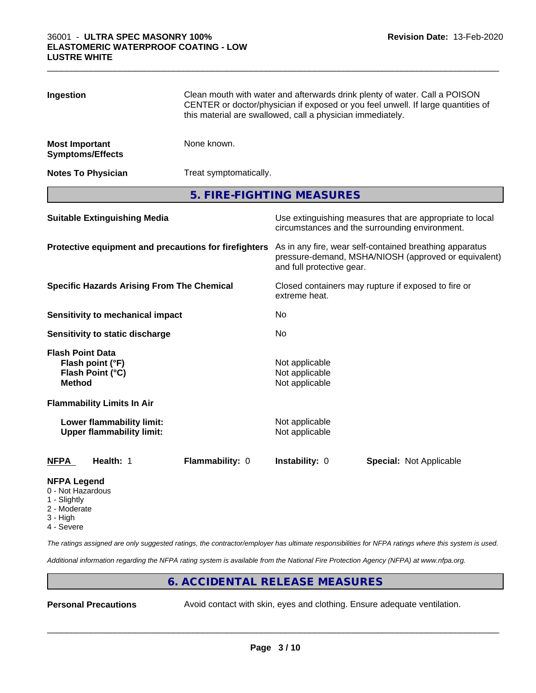| Ingestion                                             |                                                               | Clean mouth with water and afterwards drink plenty of water. Call a POISON<br>CENTER or doctor/physician if exposed or you feel unwell. If large quantities of<br>this material are swallowed, call a physician immediately. |                                                    |                         |  |
|-------------------------------------------------------|---------------------------------------------------------------|------------------------------------------------------------------------------------------------------------------------------------------------------------------------------------------------------------------------------|----------------------------------------------------|-------------------------|--|
| <b>Most Important</b>                                 | <b>Symptoms/Effects</b>                                       | None known.                                                                                                                                                                                                                  |                                                    |                         |  |
|                                                       | <b>Notes To Physician</b>                                     | Treat symptomatically.                                                                                                                                                                                                       |                                                    |                         |  |
|                                                       |                                                               | 5. FIRE-FIGHTING MEASURES                                                                                                                                                                                                    |                                                    |                         |  |
| <b>Suitable Extinguishing Media</b>                   |                                                               | Use extinguishing measures that are appropriate to local<br>circumstances and the surrounding environment.                                                                                                                   |                                                    |                         |  |
| Protective equipment and precautions for firefighters |                                                               | As in any fire, wear self-contained breathing apparatus<br>pressure-demand, MSHA/NIOSH (approved or equivalent)<br>and full protective gear.                                                                                 |                                                    |                         |  |
| <b>Specific Hazards Arising From The Chemical</b>     |                                                               | Closed containers may rupture if exposed to fire or<br>extreme heat.                                                                                                                                                         |                                                    |                         |  |
|                                                       | <b>Sensitivity to mechanical impact</b>                       |                                                                                                                                                                                                                              | No                                                 |                         |  |
|                                                       | Sensitivity to static discharge                               |                                                                                                                                                                                                                              | No                                                 |                         |  |
| <b>Flash Point Data</b><br><b>Method</b>              | Flash point (°F)<br>Flash Point (°C)                          |                                                                                                                                                                                                                              | Not applicable<br>Not applicable<br>Not applicable |                         |  |
|                                                       | <b>Flammability Limits In Air</b>                             |                                                                                                                                                                                                                              |                                                    |                         |  |
|                                                       | Lower flammability limit:<br><b>Upper flammability limit:</b> |                                                                                                                                                                                                                              | Not applicable<br>Not applicable                   |                         |  |
| <b>NFPA</b>                                           | Health: 1                                                     | Flammability: 0                                                                                                                                                                                                              | Instability: 0                                     | Special: Not Applicable |  |
| <b>NFPA Legend</b><br>0 - Not Hazardous               |                                                               |                                                                                                                                                                                                                              |                                                    |                         |  |

 $\_$  ,  $\_$  ,  $\_$  ,  $\_$  ,  $\_$  ,  $\_$  ,  $\_$  ,  $\_$  ,  $\_$  ,  $\_$  ,  $\_$  ,  $\_$  ,  $\_$  ,  $\_$  ,  $\_$  ,  $\_$  ,  $\_$  ,  $\_$  ,  $\_$  ,  $\_$  ,  $\_$  ,  $\_$  ,  $\_$  ,  $\_$  ,  $\_$  ,  $\_$  ,  $\_$  ,  $\_$  ,  $\_$  ,  $\_$  ,  $\_$  ,  $\_$  ,  $\_$  ,  $\_$  ,  $\_$  ,  $\_$  ,  $\_$  ,

- 1 Slightly
- 2 Moderate
- 3 High
- 4 Severe

*The ratings assigned are only suggested ratings, the contractor/employer has ultimate responsibilities for NFPA ratings where this system is used.*

*Additional information regarding the NFPA rating system is available from the National Fire Protection Agency (NFPA) at www.nfpa.org.*

### **6. ACCIDENTAL RELEASE MEASURES**

**Personal Precautions** Avoid contact with skin, eyes and clothing. Ensure adequate ventilation.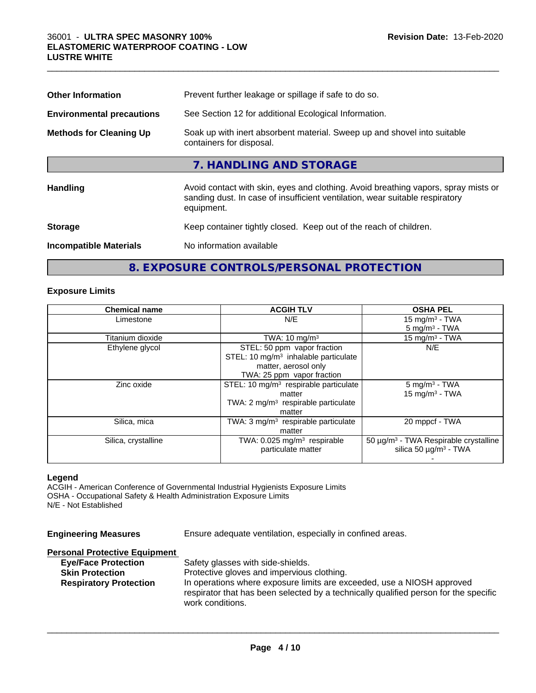| <b>Other Information</b>         | Prevent further leakage or spillage if safe to do so.                                                                                                                            |
|----------------------------------|----------------------------------------------------------------------------------------------------------------------------------------------------------------------------------|
| <b>Environmental precautions</b> | See Section 12 for additional Ecological Information.                                                                                                                            |
| <b>Methods for Cleaning Up</b>   | Soak up with inert absorbent material. Sweep up and shovel into suitable<br>containers for disposal.                                                                             |
|                                  | 7. HANDLING AND STORAGE                                                                                                                                                          |
| Handling                         | Avoid contact with skin, eyes and clothing. Avoid breathing vapors, spray mists or<br>sanding dust. In case of insufficient ventilation, wear suitable respiratory<br>equipment. |
| <b>Storage</b>                   | Keep container tightly closed. Keep out of the reach of children.                                                                                                                |
| <b>Incompatible Materials</b>    | No information available                                                                                                                                                         |

 $\_$  ,  $\_$  ,  $\_$  ,  $\_$  ,  $\_$  ,  $\_$  ,  $\_$  ,  $\_$  ,  $\_$  ,  $\_$  ,  $\_$  ,  $\_$  ,  $\_$  ,  $\_$  ,  $\_$  ,  $\_$  ,  $\_$  ,  $\_$  ,  $\_$  ,  $\_$  ,  $\_$  ,  $\_$  ,  $\_$  ,  $\_$  ,  $\_$  ,  $\_$  ,  $\_$  ,  $\_$  ,  $\_$  ,  $\_$  ,  $\_$  ,  $\_$  ,  $\_$  ,  $\_$  ,  $\_$  ,  $\_$  ,  $\_$  ,

## **8. EXPOSURE CONTROLS/PERSONAL PROTECTION**

### **Exposure Limits**

| <b>Chemical name</b> | <b>ACGIH TLV</b>                                  | <b>OSHA PEL</b>                                   |
|----------------------|---------------------------------------------------|---------------------------------------------------|
| Limestone            | N/E                                               | 15 mg/m $3$ - TWA                                 |
|                      |                                                   | $5 \text{ mg/m}^3$ - TWA                          |
| Titanium dioxide     | TWA: $10 \text{ mg/m}^3$                          | 15 mg/m $3$ - TWA                                 |
| Ethylene glycol      | STEL: 50 ppm vapor fraction                       | N/E                                               |
|                      | STEL: 10 $mg/m3$ inhalable particulate            |                                                   |
|                      | matter, aerosol only                              |                                                   |
|                      | TWA: 25 ppm vapor fraction                        |                                                   |
| Zinc oxide           | STEL: 10 mg/m <sup>3</sup> respirable particulate | $5 \text{ mg/m}^3$ - TWA                          |
|                      | matter                                            | $15$ mg/m <sup>3</sup> - TWA                      |
|                      | TWA: $2 \text{ mg/m}^3$ respirable particulate    |                                                   |
|                      | matter                                            |                                                   |
| Silica, mica         | TWA: $3 \text{ mg/m}^3$ respirable particulate    | 20 mppcf - TWA                                    |
|                      | matter                                            |                                                   |
| Silica, crystalline  | TWA: $0.025$ mg/m <sup>3</sup> respirable         | 50 µg/m <sup>3</sup> - TWA Respirable crystalline |
|                      | particulate matter                                | silica 50 $\mu$ g/m <sup>3</sup> - TWA            |
|                      |                                                   |                                                   |

### **Legend**

ACGIH - American Conference of Governmental Industrial Hygienists Exposure Limits OSHA - Occupational Safety & Health Administration Exposure Limits N/E - Not Established

| <b>Engineering Measures</b><br>Ensure adequate ventilation, especially in confined areas.                                                                                                                                                                                                                                                                                                              |  |
|--------------------------------------------------------------------------------------------------------------------------------------------------------------------------------------------------------------------------------------------------------------------------------------------------------------------------------------------------------------------------------------------------------|--|
| <b>Personal Protective Equipment</b><br><b>Eye/Face Protection</b><br>Safety glasses with side-shields.<br>Protective gloves and impervious clothing.<br><b>Skin Protection</b><br>In operations where exposure limits are exceeded, use a NIOSH approved<br><b>Respiratory Protection</b><br>respirator that has been selected by a technically qualified person for the specific<br>work conditions. |  |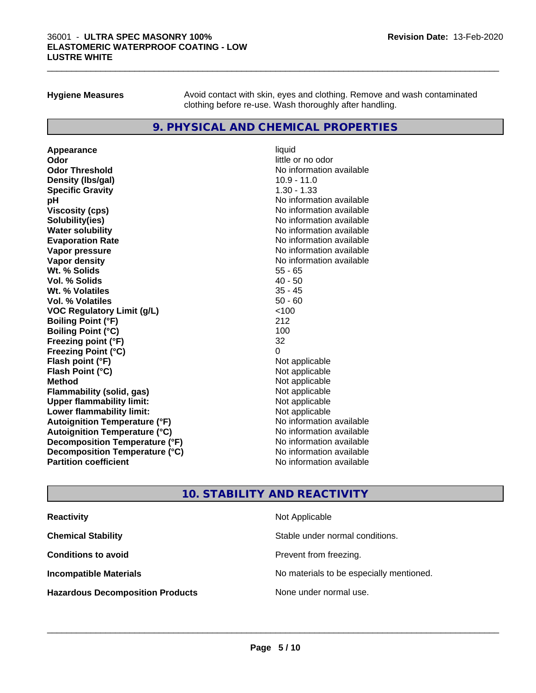### 36001 - **ULTRA SPEC MASONRY 100% ELASTOMERIC WATERPROOF COATING - LOW LUSTRE WHITE**

**Hygiene Measures** Avoid contact with skin, eyes and clothing. Remove and wash contaminated clothing before re-use. Wash thoroughly after handling.

 $\_$  ,  $\_$  ,  $\_$  ,  $\_$  ,  $\_$  ,  $\_$  ,  $\_$  ,  $\_$  ,  $\_$  ,  $\_$  ,  $\_$  ,  $\_$  ,  $\_$  ,  $\_$  ,  $\_$  ,  $\_$  ,  $\_$  ,  $\_$  ,  $\_$  ,  $\_$  ,  $\_$  ,  $\_$  ,  $\_$  ,  $\_$  ,  $\_$  ,  $\_$  ,  $\_$  ,  $\_$  ,  $\_$  ,  $\_$  ,  $\_$  ,  $\_$  ,  $\_$  ,  $\_$  ,  $\_$  ,  $\_$  ,  $\_$  ,

### **9. PHYSICAL AND CHEMICAL PROPERTIES**

**Appearance** liquid **Odor** little or no odor **Odor Threshold No information available** No information available **Density (Ibs/gal)** 10.9 - 11.0 **Specific Gravity** 1.30 - 1.33 **pH** No information available **Viscosity (cps)** No information available **Solubility(ies)** No information available **Evaporation Rate No information available No information available Vapor pressure** No information available **Vapor density No information available No** information available **Wt. % Solids** 55 - 65 **Vol. % Solids** 40 - 50 **Wt. % Volatiles Vol. % Volatiles** 50 - 60 **VOC Regulatory Limit (g/L)** <100 **Boiling Point (°F)** 212 **Boiling Point (°C)** 100 **Freezing point (°F)** 32 **Freezing Point (°C)**<br> **Flash point (°F)**<br> **Flash point (°F)**<br> **Point (°F)**<br> **Point (°F)**<br> **Point (°F)**<br> **Point (°F)**<br> **Point (°F) Flash point (°F) Flash Point (°C)** Not applicable **Method** Not applicable **Flammability (solid, gas)** Not applicable<br> **Upper flammability limit:** Not applicable **Upper flammability limit: Lower flammability limit:** Not applicable **Autoignition Temperature (°F)** No information available **Autoignition Temperature (°C)** No information available **Decomposition Temperature (°F)** No information available **Decomposition Temperature (°C)** No information available **Partition coefficient** No information available

# **No information available**

### **10. STABILITY AND REACTIVITY**

| <b>Reactivity</b>                       | Not Applicable                           |
|-----------------------------------------|------------------------------------------|
| <b>Chemical Stability</b>               | Stable under normal conditions.          |
| <b>Conditions to avoid</b>              | Prevent from freezing.                   |
| <b>Incompatible Materials</b>           | No materials to be especially mentioned. |
| <b>Hazardous Decomposition Products</b> | None under normal use.                   |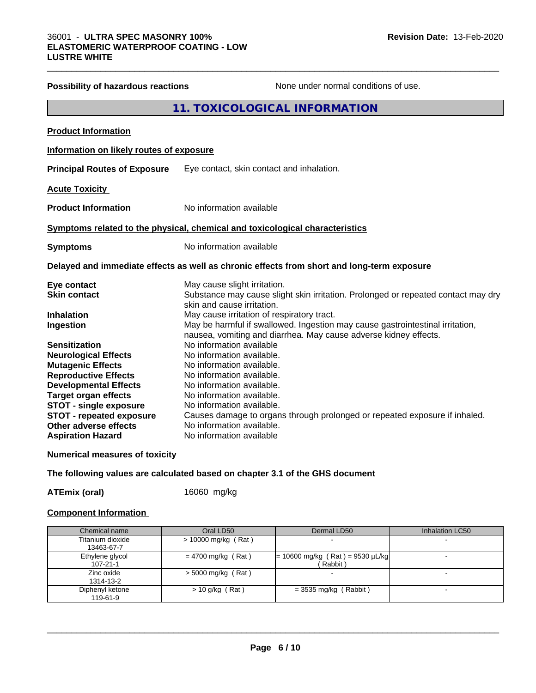|                                          | <b>11. TOXICOLOGICAL INFORMATION</b>                                                                            |
|------------------------------------------|-----------------------------------------------------------------------------------------------------------------|
| <b>Product Information</b>               |                                                                                                                 |
| Information on likely routes of exposure |                                                                                                                 |
| <b>Principal Routes of Exposure</b>      | Eye contact, skin contact and inhalation.                                                                       |
| <b>Acute Toxicity</b>                    |                                                                                                                 |
| <b>Product Information</b>               | No information available                                                                                        |
|                                          | Symptoms related to the physical, chemical and toxicological characteristics                                    |
| <b>Symptoms</b>                          | No information available                                                                                        |
|                                          | Delayed and immediate effects as well as chronic effects from short and long-term exposure                      |
| Eye contact                              | May cause slight irritation.                                                                                    |
| <b>Skin contact</b>                      | Substance may cause slight skin irritation. Prolonged or repeated contact may dry<br>skin and cause irritation. |
| <b>Inhalation</b>                        | May cause irritation of respiratory tract.                                                                      |
| Ingestion                                | May be harmful if swallowed. Ingestion may cause gastrointestinal irritation,                                   |
|                                          | nausea, vomiting and diarrhea. May cause adverse kidney effects.                                                |
| <b>Sensitization</b>                     | No information available                                                                                        |
| <b>Neurological Effects</b>              | No information available.                                                                                       |
| <b>Mutagenic Effects</b>                 | No information available.                                                                                       |
| <b>Reproductive Effects</b>              | No information available.                                                                                       |
| <b>Developmental Effects</b>             | No information available.                                                                                       |
| <b>Target organ effects</b>              | No information available.                                                                                       |
| <b>STOT - single exposure</b>            | No information available.                                                                                       |
| <b>STOT - repeated exposure</b>          | Causes damage to organs through prolonged or repeated exposure if inhaled.                                      |
| <b>Other adverse effects</b>             | No information available.                                                                                       |
| <b>Aspiration Hazard</b>                 | No information available                                                                                        |

**Possibility of hazardous reactions** None under normal conditions of use.

### **Numerical measures of toxicity**

**The following values are calculated based on chapter 3.1 of the GHS document**

**ATEmix (oral)** 16060 mg/kg

### **Component Information**

| Chemical name                     | Oral LD50            | Dermal LD50                                    | Inhalation LC50 |
|-----------------------------------|----------------------|------------------------------------------------|-----------------|
| Titanium dioxide<br>13463-67-7    | > 10000 mg/kg (Rat)  |                                                |                 |
| Ethylene glycol<br>$107 - 21 - 1$ | $= 4700$ mg/kg (Rat) | $= 10600$ mg/kg (Rat) = 9530 µL/kg<br>(Rabbit) |                 |
| Zinc oxide<br>1314-13-2           | $>$ 5000 mg/kg (Rat) |                                                |                 |
| Diphenyl ketone<br>119-61-9       | $> 10$ g/kg (Rat)    | $=$ 3535 mg/kg (Rabbit)                        |                 |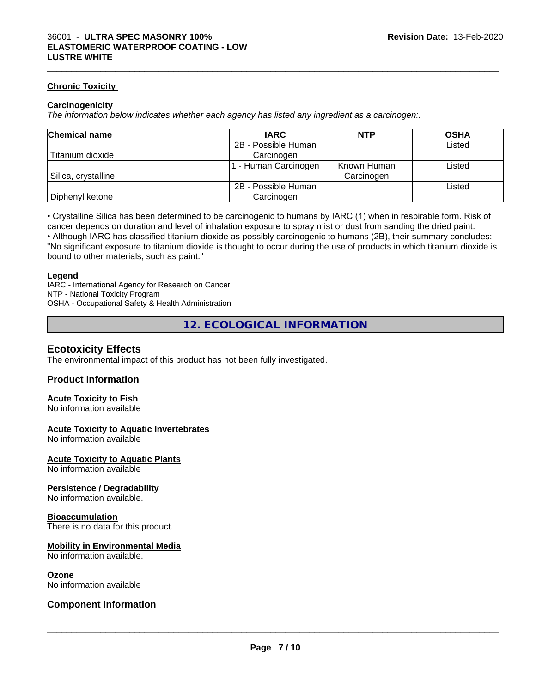### **Chronic Toxicity**

### **Carcinogenicity**

*The information below indicateswhether each agency has listed any ingredient as a carcinogen:.*

| <b>Chemical name</b> | <b>IARC</b>         | <b>NTP</b>  | <b>OSHA</b> |
|----------------------|---------------------|-------------|-------------|
|                      | 2B - Possible Human |             | Listed      |
| Titanium dioxide     | Carcinogen          |             |             |
|                      | - Human Carcinogen  | Known Human | Listed      |
| Silica, crystalline  |                     | Carcinogen  |             |
|                      | 2B - Possible Human |             | Listed      |
| Diphenyl ketone      | Carcinogen          |             |             |

 $\_$  ,  $\_$  ,  $\_$  ,  $\_$  ,  $\_$  ,  $\_$  ,  $\_$  ,  $\_$  ,  $\_$  ,  $\_$  ,  $\_$  ,  $\_$  ,  $\_$  ,  $\_$  ,  $\_$  ,  $\_$  ,  $\_$  ,  $\_$  ,  $\_$  ,  $\_$  ,  $\_$  ,  $\_$  ,  $\_$  ,  $\_$  ,  $\_$  ,  $\_$  ,  $\_$  ,  $\_$  ,  $\_$  ,  $\_$  ,  $\_$  ,  $\_$  ,  $\_$  ,  $\_$  ,  $\_$  ,  $\_$  ,  $\_$  ,

• Crystalline Silica has been determined to be carcinogenic to humans by IARC (1) when in respirable form. Risk of cancer depends on duration and level of inhalation exposure to spray mist or dust from sanding the dried paint.• Although IARC has classified titanium dioxide as possibly carcinogenic to humans (2B), their summary concludes: "No significant exposure to titanium dioxide is thought to occur during the use of products in which titanium dioxide is

bound to other materials, such as paint."

### **Legend**

IARC - International Agency for Research on Cancer NTP - National Toxicity Program OSHA - Occupational Safety & Health Administration

**12. ECOLOGICAL INFORMATION**

### **Ecotoxicity Effects**

The environmental impact of this product has not been fully investigated.

### **Product Information**

### **Acute Toxicity to Fish**

No information available

### **Acute Toxicity to Aquatic Invertebrates**

No information available

### **Acute Toxicity to Aquatic Plants**

No information available

### **Persistence / Degradability**

No information available.

### **Bioaccumulation**

There is no data for this product.

### **Mobility in Environmental Media**

No information available.

### **Ozone**

No information available

### **Component Information**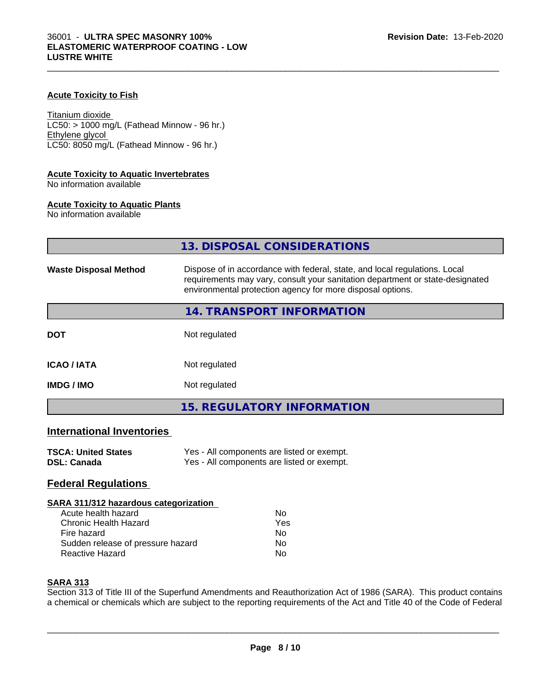### **Acute Toxicity to Fish**

Titanium dioxide  $LC50:$  > 1000 mg/L (Fathead Minnow - 96 hr.) Ethylene glycol LC50: 8050 mg/L (Fathead Minnow - 96 hr.)

### **Acute Toxicity to Aquatic Invertebrates**

No information available

### **Acute Toxicity to Aquatic Plants**

No information available

|                                  | 13. DISPOSAL CONSIDERATIONS                                                                                                                                                                                               |
|----------------------------------|---------------------------------------------------------------------------------------------------------------------------------------------------------------------------------------------------------------------------|
| <b>Waste Disposal Method</b>     | Dispose of in accordance with federal, state, and local regulations. Local<br>requirements may vary, consult your sanitation department or state-designated<br>environmental protection agency for more disposal options. |
|                                  | 14. TRANSPORT INFORMATION                                                                                                                                                                                                 |
| <b>DOT</b>                       | Not regulated                                                                                                                                                                                                             |
| <b>ICAO / IATA</b>               | Not regulated                                                                                                                                                                                                             |
| <b>IMDG / IMO</b>                | Not regulated                                                                                                                                                                                                             |
|                                  | <b>15. REGULATORY INFORMATION</b>                                                                                                                                                                                         |
| <b>International Inventories</b> |                                                                                                                                                                                                                           |

### **TSCA: United States** Yes - All components are listed or exempt.<br> **DSL: Canada** Yes - All components are listed or exempt. Yes - All components are listed or exempt.

### **Federal Regulations**

### **SARA 311/312 hazardous categorization**

| Acute health hazard               | Nο  |
|-----------------------------------|-----|
| Chronic Health Hazard             | Yes |
| Fire hazard                       | Nο  |
| Sudden release of pressure hazard | Nο  |
| Reactive Hazard                   | Nο  |

### **SARA 313**

Section 313 of Title III of the Superfund Amendments and Reauthorization Act of 1986 (SARA). This product contains a chemical or chemicals which are subject to the reporting requirements of the Act and Title 40 of the Code of Federal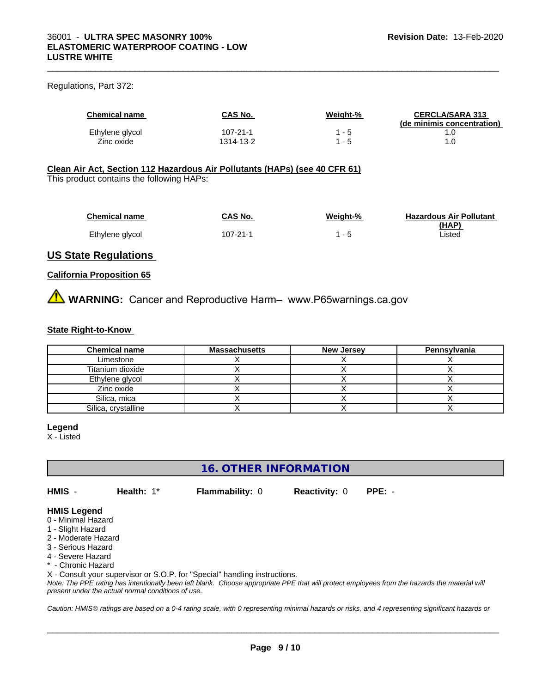### Regulations, Part 372:

| <b>Chemical name</b> | CAS No.   | Weight-% | <b>CERCLA/SARA 313</b><br>(de minimis concentration) |
|----------------------|-----------|----------|------------------------------------------------------|
| Ethylene glycol      | 107-21-1  | - 5      |                                                      |
| Zinc oxide           | 1314-13-2 | 1 - 5    |                                                      |

 $\_$  ,  $\_$  ,  $\_$  ,  $\_$  ,  $\_$  ,  $\_$  ,  $\_$  ,  $\_$  ,  $\_$  ,  $\_$  ,  $\_$  ,  $\_$  ,  $\_$  ,  $\_$  ,  $\_$  ,  $\_$  ,  $\_$  ,  $\_$  ,  $\_$  ,  $\_$  ,  $\_$  ,  $\_$  ,  $\_$  ,  $\_$  ,  $\_$  ,  $\_$  ,  $\_$  ,  $\_$  ,  $\_$  ,  $\_$  ,  $\_$  ,  $\_$  ,  $\_$  ,  $\_$  ,  $\_$  ,  $\_$  ,  $\_$  ,

### **Clean Air Act,Section 112 Hazardous Air Pollutants (HAPs) (see 40 CFR 61)**

This product contains the following HAPs:

| <b>Chemical name</b> | <b>CAS No.</b> | Weight-% | <b>Hazardous Air Pollutant</b> |
|----------------------|----------------|----------|--------------------------------|
|                      |                |          | (HAP)                          |
| Ethylene glycol      | 107-21-1       | $ \sim$  | Listed                         |

### **US State Regulations**

### **California Proposition 65**

**AVIMARNING:** Cancer and Reproductive Harm– www.P65warnings.ca.gov

### **State Right-to-Know**

| <b>Chemical name</b> | <b>Massachusetts</b> | <b>New Jersey</b> | Pennsylvania |
|----------------------|----------------------|-------------------|--------------|
| Limestone            |                      |                   |              |
| Titanium dioxide     |                      |                   |              |
| Ethylene glycol      |                      |                   |              |
| Zinc oxide           |                      |                   |              |
| Silica, mica         |                      |                   |              |
| Silica, crystalline  |                      |                   |              |

### **Legend**

X - Listed

### **16. OTHER INFORMATION**

**HMIS** - **Health:** 1\* **Flammability:** 0 **Reactivity:** 0 **PPE:** -

 $\overline{\phantom{a}}$  ,  $\overline{\phantom{a}}$  ,  $\overline{\phantom{a}}$  ,  $\overline{\phantom{a}}$  ,  $\overline{\phantom{a}}$  ,  $\overline{\phantom{a}}$  ,  $\overline{\phantom{a}}$  ,  $\overline{\phantom{a}}$  ,  $\overline{\phantom{a}}$  ,  $\overline{\phantom{a}}$  ,  $\overline{\phantom{a}}$  ,  $\overline{\phantom{a}}$  ,  $\overline{\phantom{a}}$  ,  $\overline{\phantom{a}}$  ,  $\overline{\phantom{a}}$  ,  $\overline{\phantom{a}}$ 

### **HMIS Legend**

- 0 Minimal Hazard
- 1 Slight Hazard
- 2 Moderate Hazard
- 3 Serious Hazard
- 4 Severe Hazard
- \* Chronic Hazard

X - Consult your supervisor or S.O.P. for "Special" handling instructions.

*Note: The PPE rating has intentionally been left blank. Choose appropriate PPE that will protect employees from the hazards the material will present under the actual normal conditions of use.*

*Caution: HMISÒ ratings are based on a 0-4 rating scale, with 0 representing minimal hazards or risks, and 4 representing significant hazards or*